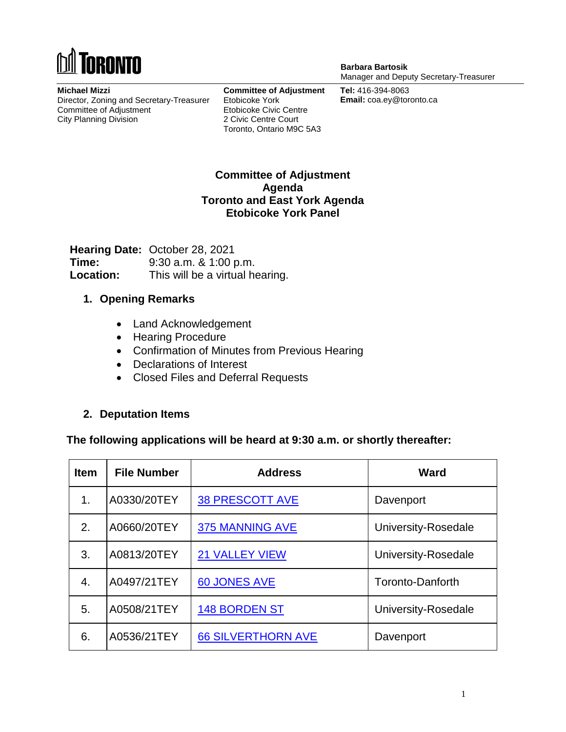# **ORONTO**

**Michael Mizzi** Director, Zoning and Secretary-Treasurer Committee of Adjustment City Planning Division

**Committee of Adjustment** Etobicoke York Etobicoke Civic Centre 2 Civic Centre Court Toronto, Ontario M9C 5A3

**Barbara Bartosik** Manager and Deputy Secretary-Treasurer

**Tel:** 416-394-8063 **Email:** coa.ey@toronto.ca

#### **Committee of Adjustment Agenda Toronto and East York Agenda Etobicoke York Panel**

**Hearing Date:** October 28, 2021 **Time:** 9:30 a.m. & 1:00 p.m. **Location:** This will be a virtual hearing.

#### **1. Opening Remarks**

- Land Acknowledgement
- Hearing Procedure
- Confirmation of Minutes from Previous Hearing
- Declarations of Interest
- Closed Files and Deferral Requests

#### **2. Deputation Items**

#### **The following applications will be heard at 9:30 a.m. or shortly thereafter:**

| <b>Item</b>   | <b>File Number</b> | <b>Address</b>            | Ward                    |
|---------------|--------------------|---------------------------|-------------------------|
| $\mathbf 1$ . | A0330/20TEY        | <b>38 PRESCOTT AVE</b>    | Davenport               |
| 2.            | A0660/20TEY        | <b>375 MANNING AVE</b>    | University-Rosedale     |
| 3.            | A0813/20TEY        | <b>21 VALLEY VIEW</b>     | University-Rosedale     |
| 4.            | A0497/21TEY        | 60 JONES AVE              | <b>Toronto-Danforth</b> |
| 5.            | A0508/21TEY        | <b>148 BORDEN ST</b>      | University-Rosedale     |
| 6.            | A0536/21TEY        | <b>66 SILVERTHORN AVE</b> | Davenport               |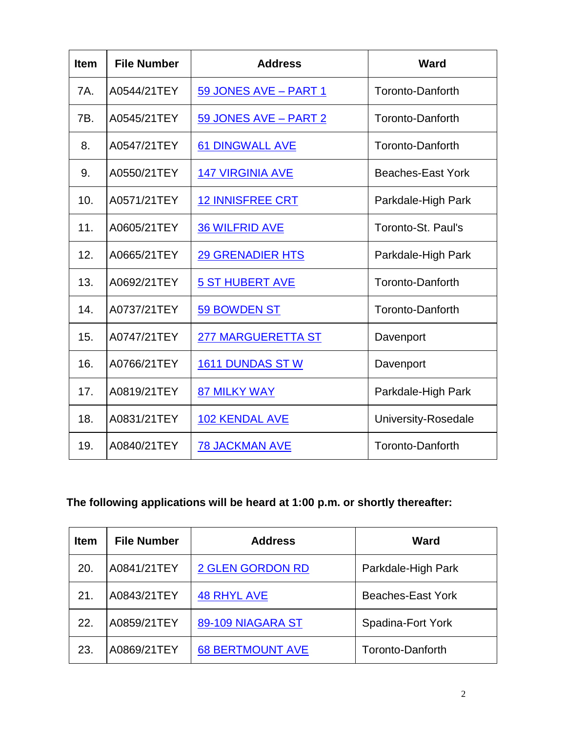| <b>Item</b> | <b>File Number</b> | <b>Address</b>            | <b>Ward</b>              |
|-------------|--------------------|---------------------------|--------------------------|
| 7A.         | A0544/21TEY        | 59 JONES AVE - PART 1     | Toronto-Danforth         |
| 7B.         | A0545/21TEY        | 59 JONES AVE - PART 2     | <b>Toronto-Danforth</b>  |
| 8.          | A0547/21TEY        | <b>61 DINGWALL AVE</b>    | Toronto-Danforth         |
| 9.          | A0550/21TEY        | <b>147 VIRGINIA AVE</b>   | <b>Beaches-East York</b> |
| 10.         | A0571/21TEY        | <b>12 INNISFREE CRT</b>   | Parkdale-High Park       |
| 11.         | A0605/21TEY        | <b>36 WILFRID AVE</b>     | Toronto-St. Paul's       |
| 12.         | A0665/21TEY        | <b>29 GRENADIER HTS</b>   | Parkdale-High Park       |
| 13.         | A0692/21TEY        | <b>5 ST HUBERT AVE</b>    | <b>Toronto-Danforth</b>  |
| 14.         | A0737/21TEY        | 59 BOWDEN ST              | <b>Toronto-Danforth</b>  |
| 15.         | A0747/21TEY        | <b>277 MARGUERETTA ST</b> | Davenport                |
| 16.         | A0766/21TEY        | <b>1611 DUNDAS ST W</b>   | Davenport                |
| 17.         | A0819/21TEY        | <b>87 MILKY WAY</b>       | Parkdale-High Park       |
| 18.         | A0831/21TEY        | <b>102 KENDAL AVE</b>     | University-Rosedale      |
| 19.         | A0840/21TEY        | <b>78 JACKMAN AVE</b>     | <b>Toronto-Danforth</b>  |

## **The following applications will be heard at 1:00 p.m. or shortly thereafter:**

| <b>Item</b> | <b>File Number</b> | <b>Address</b>          | Ward                     |
|-------------|--------------------|-------------------------|--------------------------|
| 20.         | A0841/21TEY        | <b>2 GLEN GORDON RD</b> | Parkdale-High Park       |
| 21.         | A0843/21TEY        | <b>48 RHYL AVE</b>      | <b>Beaches-East York</b> |
| 22.         | A0859/21TEY        | 89-109 NIAGARA ST       | Spadina-Fort York        |
| 23.         | A0869/21TEY        | <b>68 BERTMOUNT AVE</b> | Toronto-Danforth         |